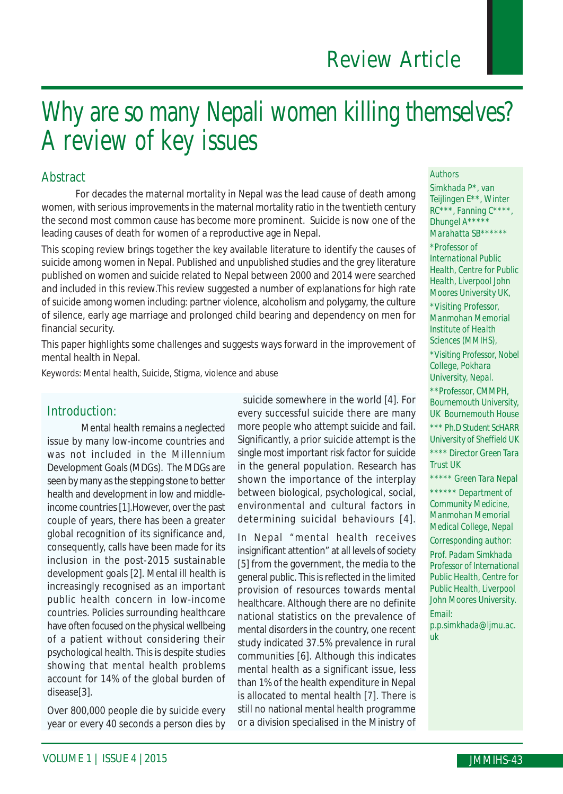# Why are so many Nepali women killing themselves? A review of key issues

#### Abstract

For decades the maternal mortality in Nepal was the lead cause of death among women, with serious improvements in the maternal mortality ratio in the twentieth century the second most common cause has become more prominent. Suicide is now one of the leading causes of death for women of a reproductive age in Nepal.

This scoping review brings together the key available literature to identify the causes of suicide among women in Nepal. Published and unpublished studies and the grey literature published on women and suicide related to Nepal between 2000 and 2014 were searched and included in this review.This review suggested a number of explanations for high rate of suicide among women including: partner violence, alcoholism and polygamy, the culture of silence, early age marriage and prolonged child bearing and dependency on men for financial security.

This paper highlights some challenges and suggests ways forward in the improvement of mental health in Nepal.

Keywords: Mental health, Suicide, Stigma, violence and abuse

#### Introduction:

Mental health remains a neglected issue by many low-income countries and was not included in the Millennium Development Goals (MDGs). The MDGs are seen by many as the stepping stone to better health and development in low and middleincome countries [1].However, over the past couple of years, there has been a greater global recognition of its significance and, consequently, calls have been made for its inclusion in the post-2015 sustainable development goals [2]. Mental ill health is increasingly recognised as an important public health concern in low-income countries. Policies surrounding healthcare have often focused on the physical wellbeing of a patient without considering their psychological health. This is despite studies showing that mental health problems account for 14% of the global burden of disease[3].

Over 800,000 people die by suicide every year or every 40 seconds a person dies by

 suicide somewhere in the world [4]. For every successful suicide there are many more people who attempt suicide and fail. Significantly, a prior suicide attempt is the single most important risk factor for suicide in the general population. Research has shown the importance of the interplay between biological, psychological, social, environmental and cultural factors in determining suicidal behaviours [4].

In Nepal "mental health receives insignificant attention" at all levels of society [5] from the government, the media to the general public. This is reflected in the limited provision of resources towards mental healthcare. Although there are no definite national statistics on the prevalence of mental disorders in the country, one recent study indicated 37.5% prevalence in rural communities [6]. Although this indicates mental health as a significant issue, less than 1% of the health expenditure in Nepal is allocated to mental health [7]. There is still no national mental health programme or a division specialised in the Ministry of

#### *Authors*

*Simkhada P\*, van Teijlingen E\*\*, Winter RC\*\*\*, Fanning C\*\*\*\*, Dhungel A\*\*\*\*\* Marahatta SB\*\*\*\*\*\* \*Professor of International Public Health, Centre for Public*

*Health, Liverpool John Moores University UK,*

*\*Visiting Professor, Manmohan Memorial Institute of Health Sciences (MMIHS),*

*\*Visiting Professor, Nobel College, Pokhara University, Nepal.*

*\*\*Professor, CMMPH, Bournemouth University, UK Bournemouth House \*\*\* Ph.D Student ScHARR University of Sheffield UK \*\*\*\* Director Green Tara Trust UK*

*\*\*\*\*\* Green Tara Nepal \*\*\*\*\*\* Department of Community Medicine, Manmohan Memorial Medical College, Nepal*

*Corresponding author: Prof. Padam Simkhada Professor of International Public Health, Centre for Public Health, Liverpool John Moores University. Email:*

*p.p.simkhada@ljmu.ac. uk*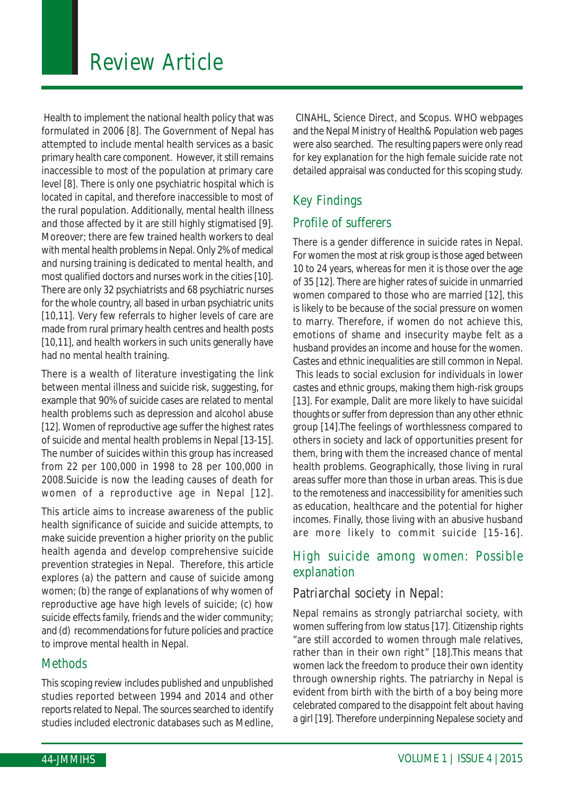Health to implement the national health policy that was formulated in 2006 [8]. The Government of Nepal has attempted to include mental health services as a basic primary health care component. However, it still remains inaccessible to most of the population at primary care level [8]. There is only one psychiatric hospital which is located in capital, and therefore inaccessible to most of the rural population. Additionally, mental health illness and those affected by it are still highly stigmatised [9]. Moreover; there are few trained health workers to deal with mental health problems in Nepal. Only 2% of medical and nursing training is dedicated to mental health, and most qualified doctors and nurses work in the cities [10]. There are only 32 psychiatrists and 68 psychiatric nurses for the whole country, all based in urban psychiatric units [10,11]. Very few referrals to higher levels of care are made from rural primary health centres and health posts [10,11], and health workers in such units generally have had no mental health training.

There is a wealth of literature investigating the link between mental illness and suicide risk, suggesting, for example that 90% of suicide cases are related to mental health problems such as depression and alcohol abuse [12]. Women of reproductive age suffer the highest rates of suicide and mental health problems in Nepal [13-15]. The number of suicides within this group has increased from 22 per 100,000 in 1998 to 28 per 100,000 in 2008.Suicide is now the leading causes of death for women of a reproductive age in Nepal [12].

This article aims to increase awareness of the public health significance of suicide and suicide attempts, to make suicide prevention a higher priority on the public health agenda and develop comprehensive suicide prevention strategies in Nepal. Therefore, this article explores (a) the pattern and cause of suicide among women; (b) the range of explanations of why women of reproductive age have high levels of suicide; (c) how suicide effects family, friends and the wider community; and (d) recommendations for future policies and practice to improve mental health in Nepal.

### **Methods**

This scoping review includes published and unpublished studies reported between 1994 and 2014 and other reports related to Nepal. The sources searched to identify studies included electronic databases such as Medline,

 CINAHL, Science Direct, and Scopus. WHO webpages and the Nepal Ministry of Health& Population web pages were also searched. The resulting papers were only read for key explanation for the high female suicide rate not detailed appraisal was conducted for this scoping study.

## Key Findings

## Profile of sufferers

There is a gender difference in suicide rates in Nepal. For women the most at risk group is those aged between 10 to 24 years, whereas for men it is those over the age of 35 [12]. There are higher rates of suicide in unmarried women compared to those who are married [12], this is likely to be because of the social pressure on women to marry. Therefore, if women do not achieve this, emotions of shame and insecurity maybe felt as a husband provides an income and house for the women. Castes and ethnic inequalities are still common in Nepal. This leads to social exclusion for individuals in lower castes and ethnic groups, making them high-risk groups [13]. For example, Dalit are more likely to have suicidal thoughts or suffer from depression than any other ethnic group [14].The feelings of worthlessness compared to others in society and lack of opportunities present for them, bring with them the increased chance of mental health problems. Geographically, those living in rural areas suffer more than those in urban areas. This is due to the remoteness and inaccessibility for amenities such as education, healthcare and the potential for higher incomes. Finally, those living with an abusive husband are more likely to commit suicide [15-16].

## High suicide among women: Possible explanation

### Patriarchal society in Nepal:

Nepal remains as strongly patriarchal society, with women suffering from low status [17]. Citizenship rights "are still accorded to women through male relatives, rather than in their own right" [18].This means that women lack the freedom to produce their own identity through ownership rights. The patriarchy in Nepal is evident from birth with the birth of a boy being more celebrated compared to the disappoint felt about having a girl [19]. Therefore underpinning Nepalese society and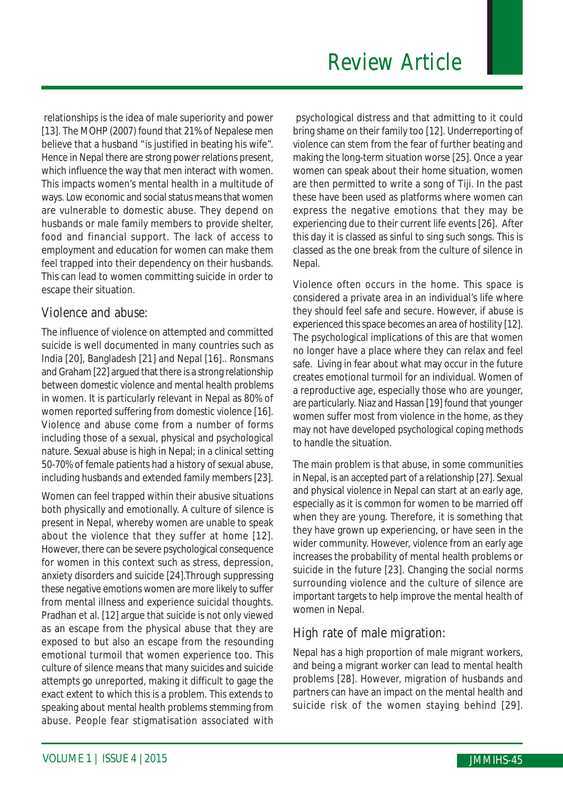relationships is the idea of male superiority and power [13]. The MOHP (2007) found that 21% of Nepalese men believe that a husband "is justified in beating his wife". Hence in Nepal there are strong power relations present, which influence the way that men interact with women. This impacts women's mental health in a multitude of ways. Low economic and social status means that women are vulnerable to domestic abuse. They depend on husbands or male family members to provide shelter, food and financial support. The lack of access to employment and education for women can make them feel trapped into their dependency on their husbands. This can lead to women committing suicide in order to escape their situation.

### Violence and abuse:

The influence of violence on attempted and committed suicide is well documented in many countries such as India [20], Bangladesh [21] and Nepal [16].. Ronsmans and Graham [22] argued that there is a strong relationship between domestic violence and mental health problems in women. It is particularly relevant in Nepal as 80% of women reported suffering from domestic violence [16]. Violence and abuse come from a number of forms including those of a sexual, physical and psychological nature. Sexual abuse is high in Nepal; in a clinical setting 50-70% of female patients had a history of sexual abuse, including husbands and extended family members [23].

Women can feel trapped within their abusive situations both physically and emotionally. A culture of silence is present in Nepal, whereby women are unable to speak about the violence that they suffer at home [12]. However, there can be severe psychological consequence for women in this context such as stress, depression, anxiety disorders and suicide [24].Through suppressing these negative emotions women are more likely to suffer from mental illness and experience suicidal thoughts. Pradhan et al. [12] argue that suicide is not only viewed as an escape from the physical abuse that they are exposed to but also an escape from the resounding emotional turmoil that women experience too. This culture of silence means that many suicides and suicide attempts go unreported, making it difficult to gage the exact extent to which this is a problem. This extends to speaking about mental health problems stemming from abuse. People fear stigmatisation associated with

 psychological distress and that admitting to it could bring shame on their family too [12]. Underreporting of violence can stem from the fear of further beating and making the long-term situation worse [25]. Once a year women can speak about their home situation, women are then permitted to write a song of Tiji. In the past these have been used as platforms where women can express the negative emotions that they may be experiencing due to their current life events [26]. After this day it is classed as sinful to sing such songs. This is classed as the one break from the culture of silence in Nepal.

Violence often occurs in the home. This space is considered a private area in an individual's life where they should feel safe and secure. However, if abuse is experienced this space becomes an area of hostility [12]. The psychological implications of this are that women no longer have a place where they can relax and feel safe. Living in fear about what may occur in the future creates emotional turmoil for an individual. Women of a reproductive age, especially those who are younger, are particularly. Niaz and Hassan [19] found that younger women suffer most from violence in the home, as they may not have developed psychological coping methods to handle the situation.

The main problem is that abuse, in some communities in Nepal, is an accepted part of a relationship [27]. Sexual and physical violence in Nepal can start at an early age, especially as it is common for women to be married off when they are young. Therefore, it is something that they have grown up experiencing, or have seen in the wider community. However, violence from an early age increases the probability of mental health problems or suicide in the future [23]. Changing the social norms surrounding violence and the culture of silence are important targets to help improve the mental health of women in Nepal.

## High rate of male migration:

Nepal has a high proportion of male migrant workers, and being a migrant worker can lead to mental health problems [28]. However, migration of husbands and partners can have an impact on the mental health and suicide risk of the women staying behind [29].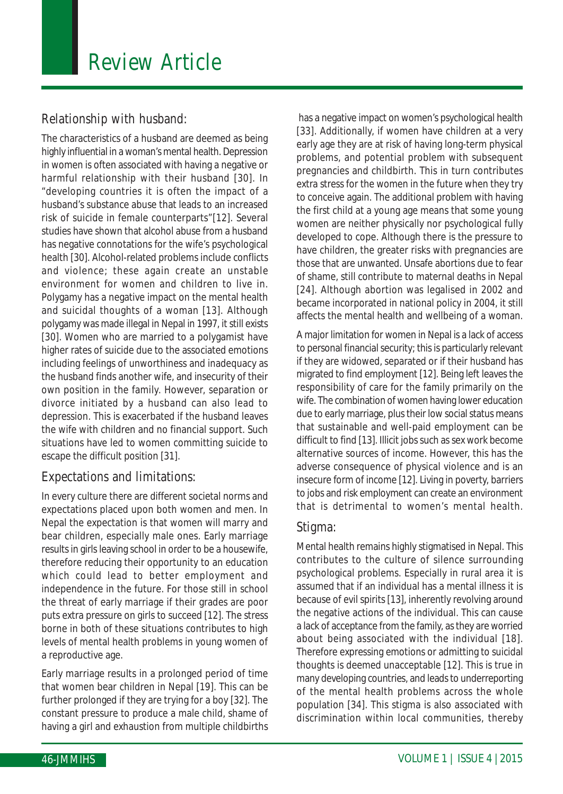## Relationship with husband:

The characteristics of a husband are deemed as being highly influential in a woman's mental health. Depression in women is often associated with having a negative or harmful relationship with their husband [30]. In "developing countries it is often the impact of a husband's substance abuse that leads to an increased risk of suicide in female counterparts"[12]. Several studies have shown that alcohol abuse from a husband has negative connotations for the wife's psychological health [30]. Alcohol-related problems include conflicts and violence; these again create an unstable environment for women and children to live in. Polygamy has a negative impact on the mental health and suicidal thoughts of a woman [13]. Although polygamy was made illegal in Nepal in 1997, it still exists [30]. Women who are married to a polygamist have higher rates of suicide due to the associated emotions including feelings of unworthiness and inadequacy as the husband finds another wife, and insecurity of their own position in the family. However, separation or divorce initiated by a husband can also lead to depression. This is exacerbated if the husband leaves the wife with children and no financial support. Such situations have led to women committing suicide to escape the difficult position [31].

### Expectations and limitations:

In every culture there are different societal norms and expectations placed upon both women and men. In Nepal the expectation is that women will marry and bear children, especially male ones. Early marriage results in girls leaving school in order to be a housewife, therefore reducing their opportunity to an education which could lead to better employment and independence in the future. For those still in school the threat of early marriage if their grades are poor puts extra pressure on girls to succeed [12]. The stress borne in both of these situations contributes to high levels of mental health problems in young women of a reproductive age.

Early marriage results in a prolonged period of time that women bear children in Nepal [19]. This can be further prolonged if they are trying for a boy [32]. The constant pressure to produce a male child, shame of having a girl and exhaustion from multiple childbirths

 has a negative impact on women's psychological health [33]. Additionally, if women have children at a very early age they are at risk of having long-term physical problems, and potential problem with subsequent pregnancies and childbirth. This in turn contributes extra stress for the women in the future when they try to conceive again. The additional problem with having the first child at a young age means that some young women are neither physically nor psychological fully developed to cope. Although there is the pressure to have children, the greater risks with pregnancies are those that are unwanted. Unsafe abortions due to fear of shame, still contribute to maternal deaths in Nepal [24]. Although abortion was legalised in 2002 and became incorporated in national policy in 2004, it still affects the mental health and wellbeing of a woman.

A major limitation for women in Nepal is a lack of access to personal financial security; this is particularly relevant if they are widowed, separated or if their husband has migrated to find employment [12]. Being left leaves the responsibility of care for the family primarily on the wife. The combination of women having lower education due to early marriage, plus their low social status means that sustainable and well-paid employment can be difficult to find [13]. Illicit jobs such as sex work become alternative sources of income. However, this has the adverse consequence of physical violence and is an insecure form of income [12]. Living in poverty, barriers to jobs and risk employment can create an environment that is detrimental to women's mental health.

#### Stigma:

Mental health remains highly stigmatised in Nepal. This contributes to the culture of silence surrounding psychological problems. Especially in rural area it is assumed that if an individual has a mental illness it is because of evil spirits [13], inherently revolving around the negative actions of the individual. This can cause a lack of acceptance from the family, as they are worried about being associated with the individual [18]. Therefore expressing emotions or admitting to suicidal thoughts is deemed unacceptable [12]. This is true in many developing countries, and leads to underreporting of the mental health problems across the whole population [34]. This stigma is also associated with discrimination within local communities, thereby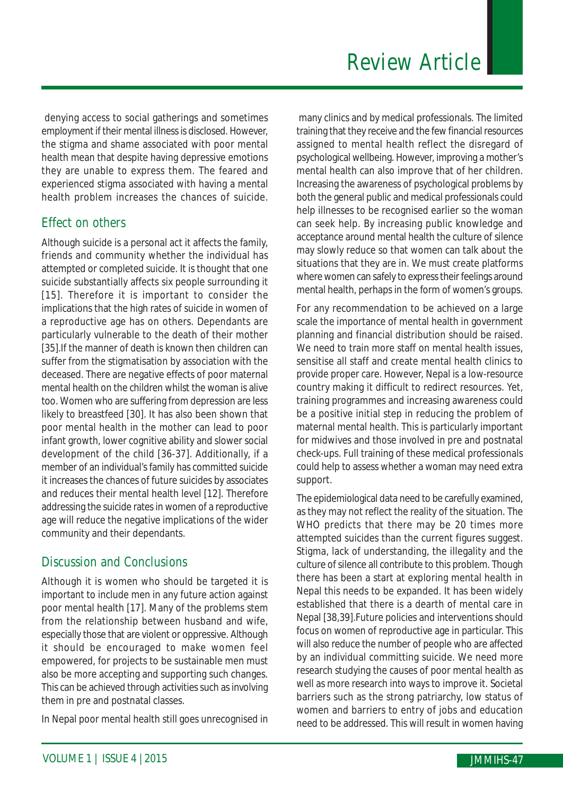denying access to social gatherings and sometimes employment if their mental illness is disclosed. However, the stigma and shame associated with poor mental health mean that despite having depressive emotions they are unable to express them. The feared and experienced stigma associated with having a mental health problem increases the chances of suicide.

## Effect on others

Although suicide is a personal act it affects the family, friends and community whether the individual has attempted or completed suicide. It is thought that one suicide substantially affects six people surrounding it [15]. Therefore it is important to consider the implications that the high rates of suicide in women of a reproductive age has on others. Dependants are particularly vulnerable to the death of their mother [35].If the manner of death is known then children can suffer from the stigmatisation by association with the deceased. There are negative effects of poor maternal mental health on the children whilst the woman is alive too. Women who are suffering from depression are less likely to breastfeed [30]. It has also been shown that poor mental health in the mother can lead to poor infant growth, lower cognitive ability and slower social development of the child [36-37]. Additionally, if a member of an individual's family has committed suicide it increases the chances of future suicides by associates and reduces their mental health level [12]. Therefore addressing the suicide rates in women of a reproductive age will reduce the negative implications of the wider community and their dependants.

## Discussion and Conclusions

Although it is women who should be targeted it is important to include men in any future action against poor mental health [17]. Many of the problems stem from the relationship between husband and wife, especially those that are violent or oppressive. Although it should be encouraged to make women feel empowered, for projects to be sustainable men must also be more accepting and supporting such changes. This can be achieved through activities such as involving them in pre and postnatal classes.

In Nepal poor mental health still goes unrecognised in

 many clinics and by medical professionals. The limited training that they receive and the few financial resources assigned to mental health reflect the disregard of psychological wellbeing. However, improving a mother's mental health can also improve that of her children. Increasing the awareness of psychological problems by both the general public and medical professionals could help illnesses to be recognised earlier so the woman can seek help. By increasing public knowledge and acceptance around mental health the culture of silence may slowly reduce so that women can talk about the situations that they are in. We must create platforms where women can safely to express their feelings around mental health, perhaps in the form of women's groups.

For any recommendation to be achieved on a large scale the importance of mental health in government planning and financial distribution should be raised. We need to train more staff on mental health issues, sensitise all staff and create mental health clinics to provide proper care. However, Nepal is a low-resource country making it difficult to redirect resources. Yet, training programmes and increasing awareness could be a positive initial step in reducing the problem of maternal mental health. This is particularly important for midwives and those involved in pre and postnatal check-ups. Full training of these medical professionals could help to assess whether a woman may need extra support.

The epidemiological data need to be carefully examined, as they may not reflect the reality of the situation. The WHO predicts that there may be 20 times more attempted suicides than the current figures suggest. Stigma, lack of understanding, the illegality and the culture of silence all contribute to this problem. Though there has been a start at exploring mental health in Nepal this needs to be expanded. It has been widely established that there is a dearth of mental care in Nepal [38,39].Future policies and interventions should focus on women of reproductive age in particular. This will also reduce the number of people who are affected by an individual committing suicide. We need more research studying the causes of poor mental health as well as more research into ways to improve it. Societal barriers such as the strong patriarchy, low status of women and barriers to entry of jobs and education need to be addressed. This will result in women having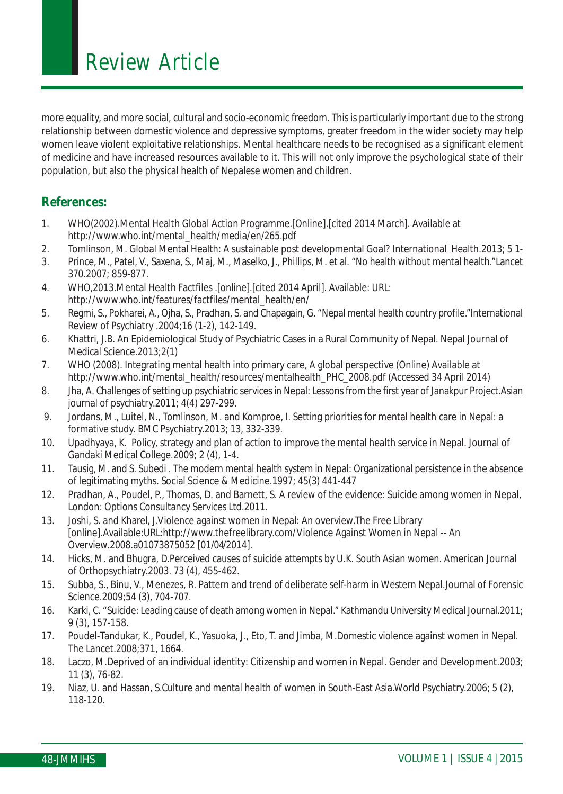more equality, and more social, cultural and socio-economic freedom. This is particularly important due to the strong relationship between domestic violence and depressive symptoms, greater freedom in the wider society may help women leave violent exploitative relationships. Mental healthcare needs to be recognised as a significant element of medicine and have increased resources available to it. This will not only improve the psychological state of their population, but also the physical health of Nepalese women and children.

#### **References:**

- 1. WHO(2002).Mental Health Global Action Programme.[Online].[cited 2014 March]. Available at http://www.who.int/mental\_health/media/en/265.pdf
- 2. Tomlinson, M. Global Mental Health: A sustainable post developmental Goal? International Health.2013; 5 1-
- 3. Prince, M., Patel, V., Saxena, S., Maj, M., Maselko, J., Phillips, M. et al. "No health without mental health."Lancet 370.2007; 859-877.
- 4. WHO,2013.Mental Health Factfiles .[online].[cited 2014 April]. Available: URL: http://www.who.int/features/factfiles/mental\_health/en/
- 5. Regmi, S., Pokharei, A., Ojha, S., Pradhan, S. and Chapagain, G. "Nepal mental health country profile."International Review of Psychiatry .2004;16 (1-2), 142-149.
- 6. Khattri, J.B. An Epidemiological Study of Psychiatric Cases in a Rural Community of Nepal. Nepal Journal of Medical Science.2013;2(1)
- 7. WHO (2008). Integrating mental health into primary care, A global perspective (Online) Available at http://www.who.int/mental\_health/resources/mentalhealth\_PHC\_2008.pdf (Accessed 34 April 2014)
- 8. Jha, A. Challenges of setting up psychiatric services in Nepal: Lessons from the first year of Janakpur Project.Asian journal of psychiatry.2011; 4(4) 297-299.
- 9. Jordans, M., Luitel, N., Tomlinson, M. and Komproe, I. Setting priorities for mental health care in Nepal: a formative study. BMC Psychiatry.2013; 13, 332-339.
- 10. Upadhyaya, K. Policy, strategy and plan of action to improve the mental health service in Nepal. Journal of Gandaki Medical College.2009; 2 (4), 1-4.
- 11. Tausig, M. and S. Subedi . The modern mental health system in Nepal: Organizational persistence in the absence of legitimating myths. Social Science & Medicine.1997; 45(3) 441-447
- 12. Pradhan, A., Poudel, P., Thomas, D. and Barnett, S. A review of the evidence: Suicide among women in Nepal, London: Options Consultancy Services Ltd.2011.
- 13. Joshi, S. and Kharel, J.Violence against women in Nepal: An overview.The Free Library [online].Available:URL:http://www.thefreelibrary.com/Violence Against Women in Nepal -- An Overview.2008.a01073875052 [01/04/2014].
- 14. Hicks, M. and Bhugra, D.Perceived causes of suicide attempts by U.K. South Asian women. American Journal of Orthopsychiatry.2003. 73 (4), 455-462.
- 15. Subba, S., Binu, V., Menezes, R. Pattern and trend of deliberate self-harm in Western Nepal.Journal of Forensic Science.2009;54 (3), 704-707.
- 16. Karki, C. "Suicide: Leading cause of death among women in Nepal." Kathmandu University Medical Journal.2011; 9 (3), 157-158.
- 17. Poudel-Tandukar, K., Poudel, K., Yasuoka, J., Eto, T. and Jimba, M.Domestic violence against women in Nepal. The Lancet.2008;371, 1664.
- 18. Laczo, M.Deprived of an individual identity: Citizenship and women in Nepal. Gender and Development.2003; 11 (3), 76-82.
- 19. Niaz, U. and Hassan, S.Culture and mental health of women in South-East Asia.World Psychiatry.2006; 5 (2), 118-120.